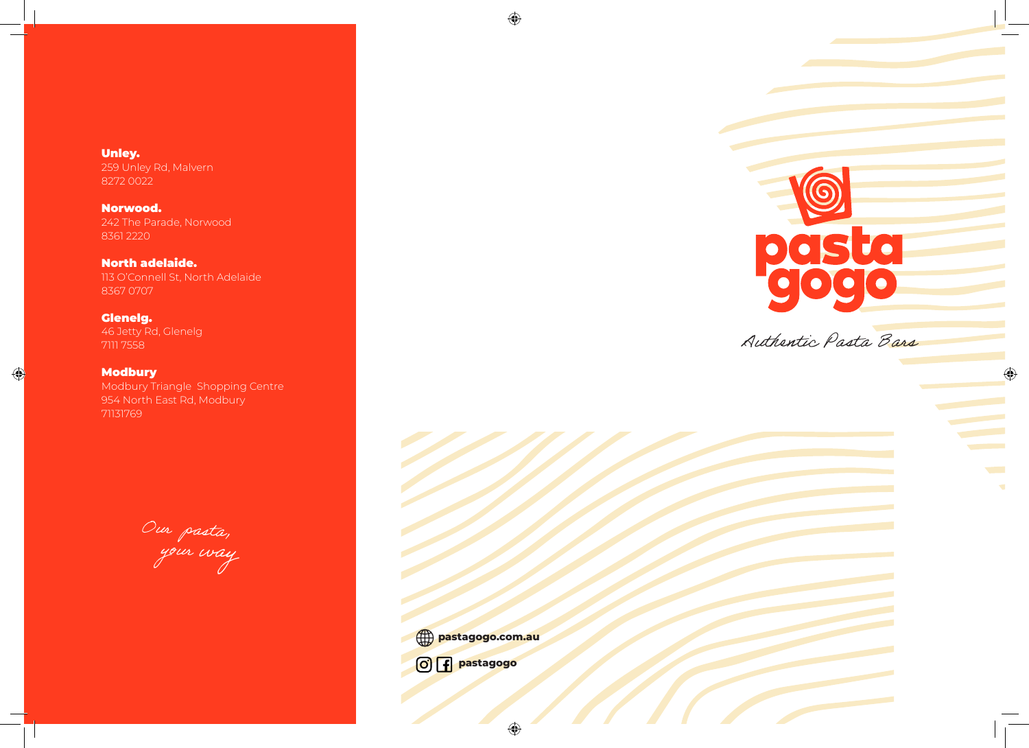Unley. 259 Unley Rd, Malvern 8272 0022

Norwood. 242 The Parade, Norwood 8361 2220

North adelaide. 113 O'Connell St, North Adelaide 8367 0707

Glenelg. 46 Jetty Rd, Glenelg 7111 7558

**Modbury** Modbury Triangle Shopping Centre 954 North East Rd, Modbury 71131769

Our pasta, your way



Authentic Pasta Bars

**pastagogo.com.au**

**pastagogo**